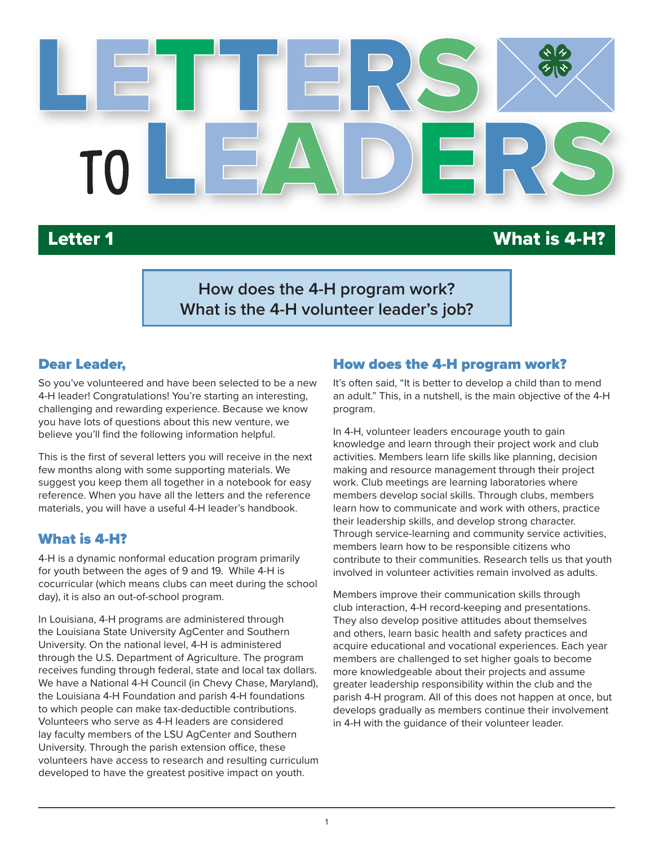

# Letter 1 What is 4-H?

**How does the 4-H program work? What is the 4-H volunteer leader's job?**

#### Dear Leader,

So you've volunteered and have been selected to be a new 4-H leader! Congratulations! You're starting an interesting, challenging and rewarding experience. Because we know you have lots of questions about this new venture, we believe you'll find the following information helpful.

This is the first of several letters you will receive in the next few months along with some supporting materials. We suggest you keep them all together in a notebook for easy reference. When you have all the letters and the reference materials, you will have a useful 4-H leader's handbook.

#### What is 4-H?

4-H is a dynamic nonformal education program primarily for youth between the ages of 9 and 19. While 4-H is cocurricular (which means clubs can meet during the school day), it is also an out-of-school program.

In Louisiana, 4-H programs are administered through the Louisiana State University AgCenter and Southern University. On the national level, 4-H is administered through the U.S. Department of Agriculture. The program receives funding through federal, state and local tax dollars. We have a National 4-H Council (in Chevy Chase, Maryland), the Louisiana 4-H Foundation and parish 4-H foundations to which people can make tax-deductible contributions. Volunteers who serve as 4-H leaders are considered lay faculty members of the LSU AgCenter and Southern University. Through the parish extension office, these volunteers have access to research and resulting curriculum developed to have the greatest positive impact on youth.

#### How does the 4-H program work?

It's often said, "It is better to develop a child than to mend an adult." This, in a nutshell, is the main objective of the 4-H program.

In 4-H, volunteer leaders encourage youth to gain knowledge and learn through their project work and club activities. Members learn life skills like planning, decision making and resource management through their project work. Club meetings are learning laboratories where members develop social skills. Through clubs, members learn how to communicate and work with others, practice their leadership skills, and develop strong character. Through service-learning and community service activities, members learn how to be responsible citizens who contribute to their communities. Research tells us that youth involved in volunteer activities remain involved as adults.

Members improve their communication skills through club interaction, 4-H record-keeping and presentations. They also develop positive attitudes about themselves and others, learn basic health and safety practices and acquire educational and vocational experiences. Each year members are challenged to set higher goals to become more knowledgeable about their projects and assume greater leadership responsibility within the club and the parish 4-H program. All of this does not happen at once, but develops gradually as members continue their involvement in 4-H with the guidance of their volunteer leader.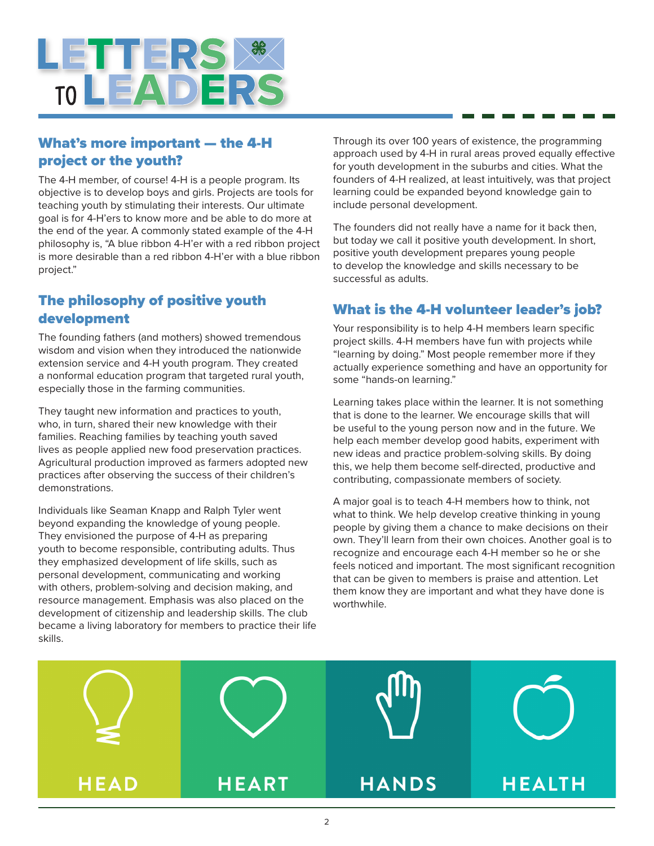

### What's more important — the 4-H project or the youth?

The 4-H member, of course! 4-H is a people program. Its objective is to develop boys and girls. Projects are tools for teaching youth by stimulating their interests. Our ultimate goal is for 4-H'ers to know more and be able to do more at the end of the year. A commonly stated example of the 4-H philosophy is, "A blue ribbon 4-H'er with a red ribbon project is more desirable than a red ribbon 4-H'er with a blue ribbon project."

#### The philosophy of positive youth development

The founding fathers (and mothers) showed tremendous wisdom and vision when they introduced the nationwide extension service and 4-H youth program. They created a nonformal education program that targeted rural youth, especially those in the farming communities.

They taught new information and practices to youth, who, in turn, shared their new knowledge with their families. Reaching families by teaching youth saved lives as people applied new food preservation practices. Agricultural production improved as farmers adopted new practices after observing the success of their children's demonstrations.

Individuals like Seaman Knapp and Ralph Tyler went beyond expanding the knowledge of young people. They envisioned the purpose of 4-H as preparing youth to become responsible, contributing adults. Thus they emphasized development of life skills, such as personal development, communicating and working with others, problem-solving and decision making, and resource management. Emphasis was also placed on the development of citizenship and leadership skills. The club became a living laboratory for members to practice their life skills.

Through its over 100 years of existence, the programming approach used by 4-H in rural areas proved equally effective for youth development in the suburbs and cities. What the founders of 4-H realized, at least intuitively, was that project learning could be expanded beyond knowledge gain to include personal development.

The founders did not really have a name for it back then, but today we call it positive youth development. In short, positive youth development prepares young people to develop the knowledge and skills necessary to be successful as adults.

#### What is the 4-H volunteer leader's job?

Your responsibility is to help 4-H members learn specific project skills. 4-H members have fun with projects while "learning by doing." Most people remember more if they actually experience something and have an opportunity for some "hands-on learning."

Learning takes place within the learner. It is not something that is done to the learner. We encourage skills that will be useful to the young person now and in the future. We help each member develop good habits, experiment with new ideas and practice problem-solving skills. By doing this, we help them become self-directed, productive and contributing, compassionate members of society.

A major goal is to teach 4-H members how to think, not what to think. We help develop creative thinking in young people by giving them a chance to make decisions on their own. They'll learn from their own choices. Another goal is to recognize and encourage each 4-H member so he or she feels noticed and important. The most significant recognition that can be given to members is praise and attention. Let them know they are important and what they have done is worthwhile.